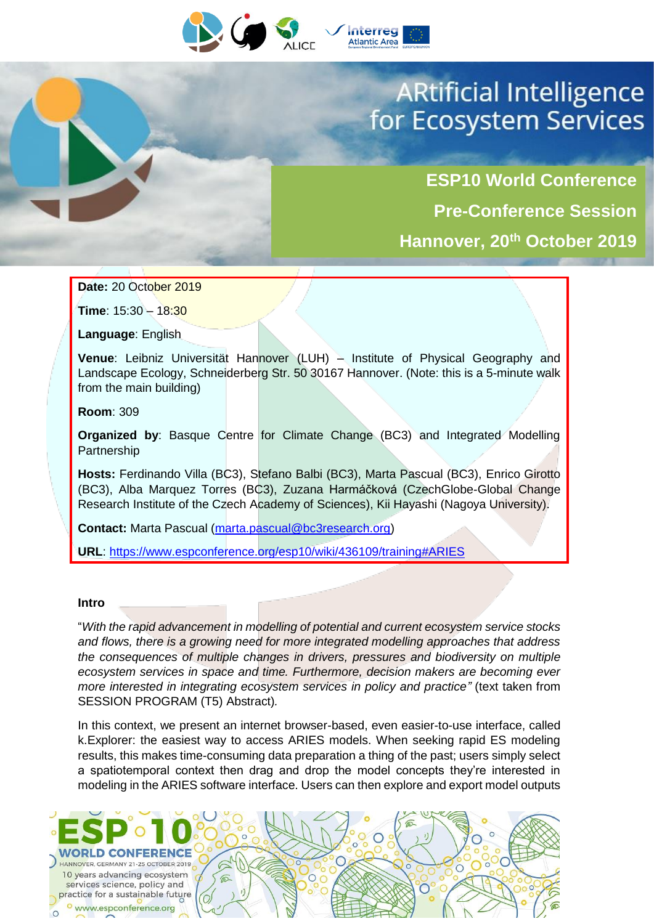



# **ARtificial Intelligence** for Ecosystem Services

**ESP10 World Conference Pre-Conference Session Hannover, 20th October 2019**

**Date:** 20 October 2019

**Time**: 15:30 – 18:30

**Language**: English

**Venue**: Leibniz Universität Hannover (LUH) – Institute of Physical Geography and Landscape Ecology, Schneiderberg Str. 50 30167 Hannover. (Note: this is a 5-minute walk from the main building)

**Room**: 309

**Organized by**: Basque Centre for Climate Change (BC3) and Integrated Modelling Partnership

**Hosts:** Ferdinando Villa (BC3), Stefano Balbi (BC3), Marta Pascual (BC3), Enrico Girotto (BC3), Alba Marquez Torres (BC3), Zuzana Harmáčková (CzechGlobe-Global Change Research Institute of the Czech Academy of Sciences), Kii Hayashi (Nagoya University).

**Contact:** Marta Pascual [\(marta.pascual@bc3research.org\)](mailto:marta.pascual@bc3research.org)

**URL**:<https://www.espconference.org/esp10/wiki/436109/training#ARIES>

#### **Intro**

"*With the rapid advancement in modelling of potential and current ecosystem service stocks and flows, there is a growing need for more integrated modelling approaches that address the consequences of multiple changes in drivers, pressures and biodiversity on multiple ecosystem services in space and time. Furthermore, decision makers are becoming ever more interested in integrating ecosystem services in policy and practice"* (text taken from SESSION PROGRAM (T5) Abstract)*.*

In this context, we present an internet browser-based, even easier-to-use interface, called k.Explorer: the easiest way to access ARIES models. When seeking rapid ES modeling results, this makes time-consuming data preparation a thing of the past; users simply select a spatiotemporal context then drag and drop the model concepts they're interested in modeling in the ARIES software interface. Users can then explore and export model outputs

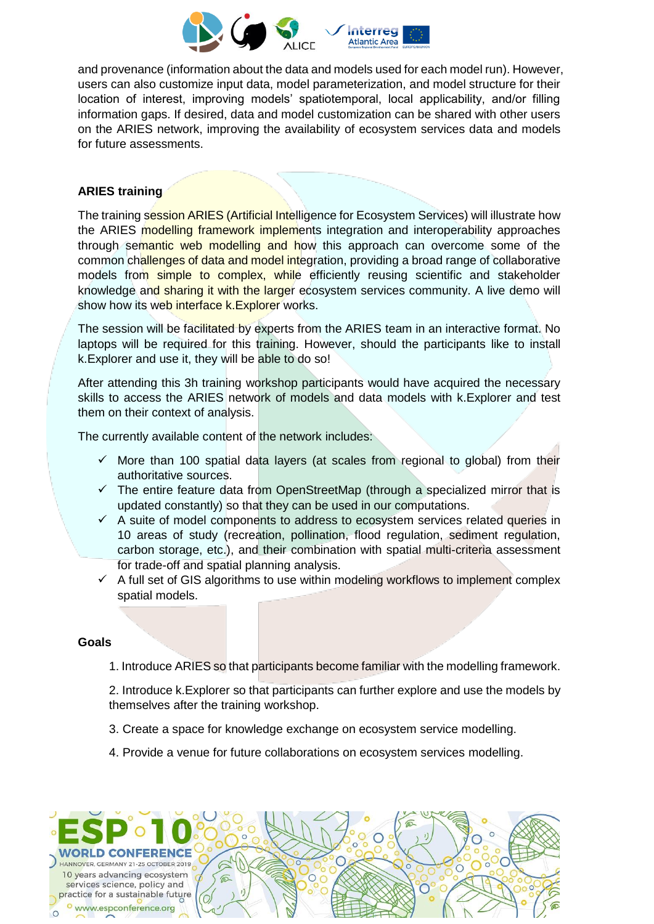

and provenance (information about the data and models used for each model run). However, users can also customize input data, model parameterization, and model structure for their location of interest, improving models' spatiotemporal, local applicability, and/or filling information gaps. If desired, data and model customization can be shared with other users on the ARIES network, improving the availability of ecosystem services data and models for future assessments.

# **ARIES training**

The training session ARIES (Artificial Intelligence for Ecosystem Services) will illustrate how the ARIES modelling framework implements integration and interoperability approaches through semantic web modelling and how this approach can overcome some of the common challenges of data and model integration, providing a broad range of collaborative models from simple to complex, while efficiently reusing scientific and stakeholder knowledge and sharing it with the larger ecosystem services community. A live demo will show how its web interface k.Explorer works.

The session will be facilitated by experts from the ARIES team in an interactive format. No laptops will be required for this training. However, should the participants like to install k.Explorer and use it, they will be able to do so!

After attending this 3h training workshop participants would have acquired the necessary skills to access the ARIES network of models and data models with k.Explorer and test them on their context of analysis.

The currently available content of the network includes:

- $\checkmark$  More than 100 spatial data layers (at scales from regional to global) from their authoritative sources.
- $\checkmark$  The entire feature data from OpenStreetMap (through a specialized mirror that is updated constantly) so that they can be used in our computations.
- $\checkmark$  A suite of model components to address to ecosystem services related queries in 10 areas of study (recreation, pollination, flood regulation, sediment regulation, carbon storage, etc.), and their combination with spatial multi-criteria assessment for trade-off and spatial planning analysis.
- $\checkmark$  A full set of GIS algorithms to use within modeling workflows to implement complex spatial models.

#### **Goals**

1. Introduce ARIES so that participants become familiar with the modelling framework.

2. Introduce k.Explorer so that participants can further explore and use the models by themselves after the training workshop.

- 3. Create a space for knowledge exchange on ecosystem service modelling.
- 4. Provide a venue for future collaborations on ecosystem services modelling.